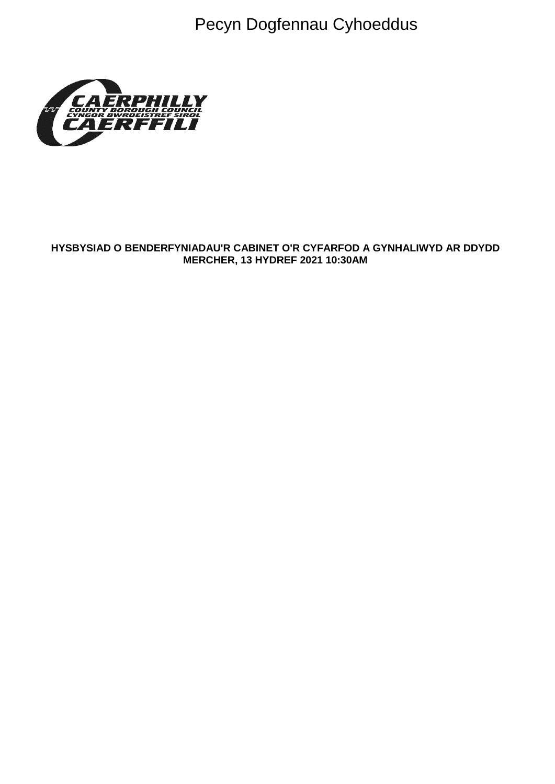Pecyn Dogfennau Cyhoeddus



## HYSBYSIAD O BENDERFYNIADAU'R CABINET O'R CYFARFOD A GYNHALIWYD AR DDYDD **MERCHER, 13 HYDREF 2021 10:30AM**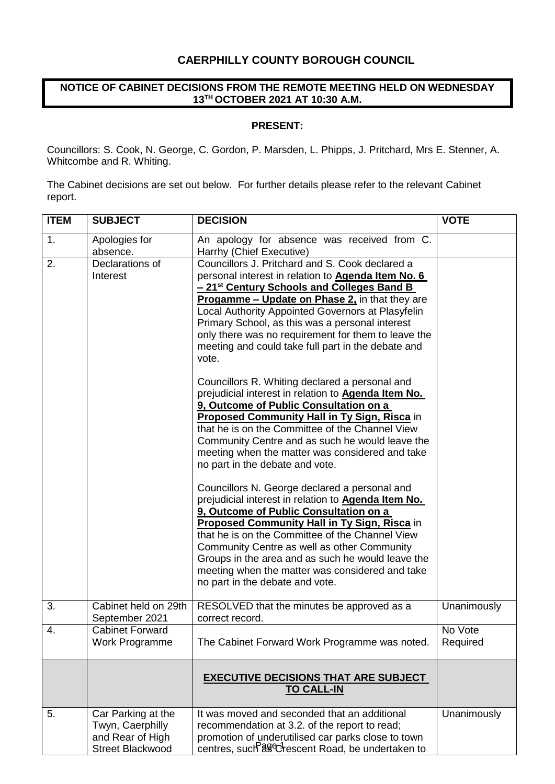# **CAERPHILLY COUNTY BOROUGH COUNCIL**

### **NOTICE OF CABINET DECISIONS FROM THE REMOTE MEETING HELD ON WEDNESDAY 13TH OCTOBER 2021 AT 10:30 A.M.**

#### **PRESENT:**

Councillors: S. Cook, N. George, C. Gordon, P. Marsden, L. Phipps, J. Pritchard, Mrs E. Stenner, A. Whitcombe and R. Whiting.

The Cabinet decisions are set out below. For further details please refer to the relevant Cabinet report.

| <b>ITEM</b> | <b>SUBJECT</b>                                                                        | <b>DECISION</b>                                                                                                                                                                                                                                                                                                                                                                                                                                               | <b>VOTE</b>         |
|-------------|---------------------------------------------------------------------------------------|---------------------------------------------------------------------------------------------------------------------------------------------------------------------------------------------------------------------------------------------------------------------------------------------------------------------------------------------------------------------------------------------------------------------------------------------------------------|---------------------|
| 1.          | Apologies for<br>absence.                                                             | An apology for absence was received from C.<br>Harrhy (Chief Executive)                                                                                                                                                                                                                                                                                                                                                                                       |                     |
| 2.          | Declarations of<br>Interest                                                           | Councillors J. Pritchard and S. Cook declared a<br>personal interest in relation to <b>Agenda Item No. 6</b><br>- 21 <sup>st</sup> Century Schools and Colleges Band B<br><b>Progamme – Update on Phase 2, in that they are</b><br>Local Authority Appointed Governors at Plasyfelin<br>Primary School, as this was a personal interest<br>only there was no requirement for them to leave the<br>meeting and could take full part in the debate and<br>vote. |                     |
|             |                                                                                       | Councillors R. Whiting declared a personal and<br>prejudicial interest in relation to <b>Agenda Item No.</b><br>9, Outcome of Public Consultation on a<br><b>Proposed Community Hall in Ty Sign, Risca in</b><br>that he is on the Committee of the Channel View<br>Community Centre and as such he would leave the<br>meeting when the matter was considered and take<br>no part in the debate and vote.                                                     |                     |
|             |                                                                                       | Councillors N. George declared a personal and<br>prejudicial interest in relation to <b>Agenda Item No.</b><br>9, Outcome of Public Consultation on a<br><b>Proposed Community Hall in Ty Sign, Risca in</b><br>that he is on the Committee of the Channel View<br>Community Centre as well as other Community<br>Groups in the area and as such he would leave the<br>meeting when the matter was considered and take<br>no part in the debate and vote.     |                     |
| 3.          | Cabinet held on 29th<br>September 2021                                                | RESOLVED that the minutes be approved as a<br>correct record.                                                                                                                                                                                                                                                                                                                                                                                                 | Unanimously         |
| 4.          | <b>Cabinet Forward</b><br>Work Programme                                              | The Cabinet Forward Work Programme was noted.                                                                                                                                                                                                                                                                                                                                                                                                                 | No Vote<br>Required |
|             |                                                                                       | <b>EXECUTIVE DECISIONS THAT ARE SUBJECT</b><br><b>TO CALL-IN</b>                                                                                                                                                                                                                                                                                                                                                                                              |                     |
| 5.          | Car Parking at the<br>Twyn, Caerphilly<br>and Rear of High<br><b>Street Blackwood</b> | It was moved and seconded that an additional<br>recommendation at 3.2. of the report to read;<br>promotion of underutilised car parks close to town<br>centres, such <sup>39</sup> Crescent Road, be undertaken to                                                                                                                                                                                                                                            | Unanimously         |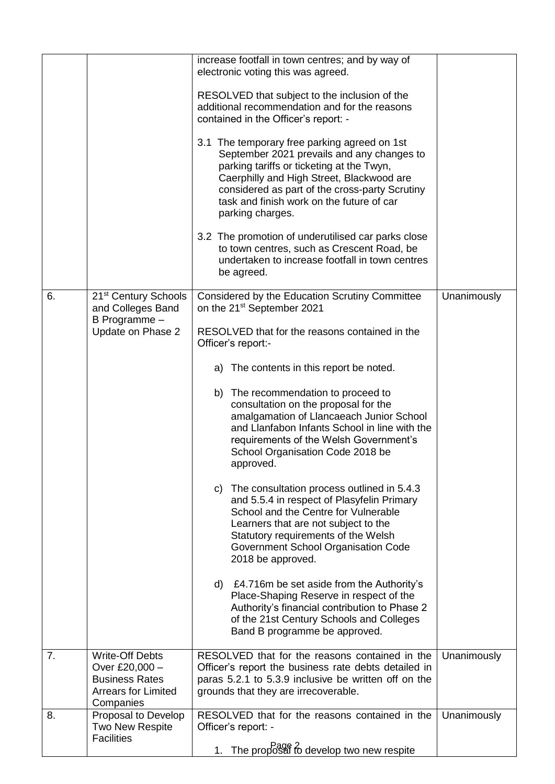|    |                                                                                                              | increase footfall in town centres; and by way of<br>electronic voting this was agreed.                                                                                                                                                                                                                  |             |
|----|--------------------------------------------------------------------------------------------------------------|---------------------------------------------------------------------------------------------------------------------------------------------------------------------------------------------------------------------------------------------------------------------------------------------------------|-------------|
|    |                                                                                                              | RESOLVED that subject to the inclusion of the<br>additional recommendation and for the reasons<br>contained in the Officer's report: -                                                                                                                                                                  |             |
|    |                                                                                                              | 3.1 The temporary free parking agreed on 1st<br>September 2021 prevails and any changes to<br>parking tariffs or ticketing at the Twyn,<br>Caerphilly and High Street, Blackwood are<br>considered as part of the cross-party Scrutiny<br>task and finish work on the future of car<br>parking charges. |             |
|    |                                                                                                              | 3.2 The promotion of underutilised car parks close<br>to town centres, such as Crescent Road, be<br>undertaken to increase footfall in town centres<br>be agreed.                                                                                                                                       |             |
| 6. | 21 <sup>st</sup> Century Schools<br>and Colleges Band                                                        | Considered by the Education Scrutiny Committee<br>on the 21 <sup>st</sup> September 2021                                                                                                                                                                                                                | Unanimously |
|    | B Programme -<br>Update on Phase 2                                                                           | RESOLVED that for the reasons contained in the<br>Officer's report:-                                                                                                                                                                                                                                    |             |
|    |                                                                                                              | a) The contents in this report be noted.                                                                                                                                                                                                                                                                |             |
|    |                                                                                                              | b) The recommendation to proceed to<br>consultation on the proposal for the<br>amalgamation of Llancaeach Junior School<br>and Llanfabon Infants School in line with the<br>requirements of the Welsh Government's<br>School Organisation Code 2018 be<br>approved.                                     |             |
|    |                                                                                                              | c) The consultation process outlined in 5.4.3<br>and 5.5.4 in respect of Plasyfelin Primary<br>School and the Centre for Vulnerable<br>Learners that are not subject to the<br>Statutory requirements of the Welsh<br>Government School Organisation Code<br>2018 be approved.                          |             |
|    |                                                                                                              | d) £4.716m be set aside from the Authority's<br>Place-Shaping Reserve in respect of the<br>Authority's financial contribution to Phase 2<br>of the 21st Century Schools and Colleges<br>Band B programme be approved.                                                                                   |             |
| 7. | <b>Write-Off Debts</b><br>Over £20,000 -<br><b>Business Rates</b><br><b>Arrears for Limited</b><br>Companies | RESOLVED that for the reasons contained in the<br>Officer's report the business rate debts detailed in<br>paras 5.2.1 to 5.3.9 inclusive be written off on the<br>grounds that they are irrecoverable.                                                                                                  | Unanimously |
| 8. | Proposal to Develop<br>Two New Respite<br><b>Facilities</b>                                                  | RESOLVED that for the reasons contained in the<br>Officer's report: -<br>1. The proposal to develop two new respite                                                                                                                                                                                     | Unanimously |